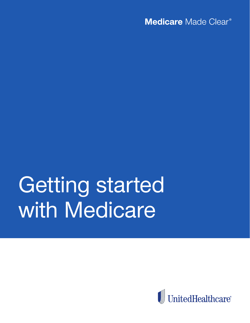Medicare Made Clear<sup>®</sup>

# Getting started with Medicare

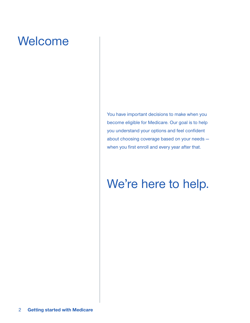## Welcome

You have important decisions to make when you become eligible for Medicare. Our goal is to help you understand your options and feel confident about choosing coverage based on your needs when you first enroll and every year after that.

## We're here to help.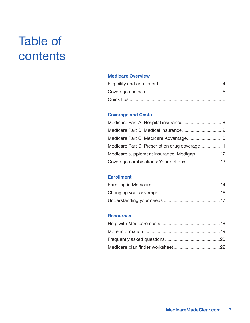## Table of contents

## **Medicare Overview**

## **Coverage and Costs**

| Medicare Part D: Prescription drug coverage 11 |  |
|------------------------------------------------|--|
| Medicare supplement insurance: Medigap 12      |  |
|                                                |  |

## **Enrollment**

## **Resources**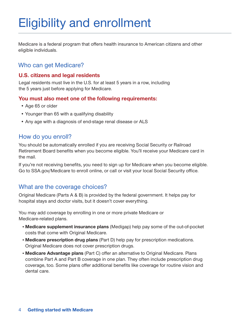## Eligibility and enrollment

Medicare is a federal program that offers health insurance to American citizens and other eligible individuals.

## Who can get Medicare?

## **U.S. citizens and legal residents**

Legal residents must live in the U.S. for at least 5 years in a row, including the 5 years just before applying for Medicare.

## **You must also meet one of the following requirements:**

- Age 65 or older
- Younger than 65 with a qualifying disability
- Any age with a diagnosis of end-stage renal disease or ALS

## How do you enroll?

You should be automatically enrolled if you are receiving Social Security or Railroad Retirement Board benefits when you become eligible. You'll receive your Medicare card in the mail.

If you're not receiving benefits, you need to sign up for Medicare when you become eligible. Go to SSA.gov/Medicare to enroll online, or call or visit your local Social Security office.

## What are the coverage choices?

Original Medicare (Parts A & B) is provided by the federal government. It helps pay for hospital stays and doctor visits, but it doesn't cover everything.

You may add coverage by enrolling in one or more private Medicare or Medicare-related plans.

- **Medicare supplement insurance plans** (Medigap) help pay some of the out-of-pocket costs that come with Original Medicare.
- **Medicare prescription drug plans** (Part D) help pay for prescription medications. Original Medicare does not cover prescription drugs.
- **Medicare Advantage plans** (Part C) offer an alternative to Original Medicare. Plans combine Part A and Part B coverage in one plan. They often include prescription drug coverage, too. Some plans offer additional benefits like coverage for routine vision and dental care.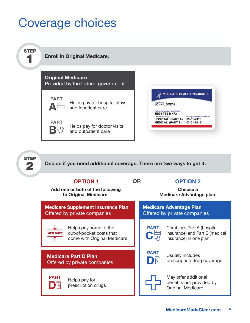## Coverage choices

Helps pay for prescription drugs

**PART** 

同



May offer additional benefits not provided by Original Medicare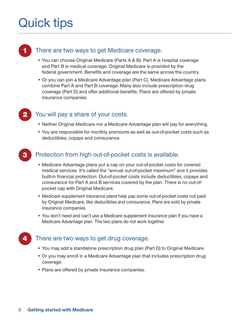## Quick tips



## There are two ways to get Medicare coverage.

- You can choose Original Medicare (Parts A & B). Part A is hospital coverage and Part B is medical coverage. Original Medicare is provided by the federal government. Benefits and coverage are the same across the country.
- Or you can join a Medicare Advantage plan (Part C). Medicare Advantage plans combine Part A and Part B coverage. Many also include prescription drug coverage (Part D) and offer additional benefits. Plans are offered by private insurance companies.

## You will pay a share of your costs.

- Neither Original Medicare nor a Medicare Advantage plan will pay for everything.
- You are responsible for monthly premiums as well as out-of-pocket costs such as deductibles, copays and coinsurance.

## Protection from high out-of-pocket costs is available.

- Medicare Advantage plans put a cap on your out-of-pocket costs for covered medical services. It's called the "annual out-of-pocket maximum" and it provides built-in financial protection. Out-of-pocket costs include deductibles, copays and coinsurance for Part A and B services covered by the plan. There is no out-ofpocket cap with Original Medicare.
- Medicare supplement insurance plans help pay some out-of-pocket costs not paid by Original Medicare, like deductibles and coinsurance. Plans are sold by private insurance companies.
- You don't need and can't use a Medicare supplement insurance plan if you have a Medicare Advantage plan. The two plans do not work together.

## There are two ways to get drug coverage.

- You may add a standalone prescription drug plan (Part D) to Original Medicare.
- Or you may enroll in a Medicare Advantage plan that includes prescription drug coverage.
- Plans are offered by private insurance companies.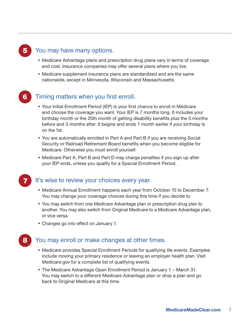## You may have many options.

- Medicare Advantage plans and prescription drug plans vary in terms of coverage and cost. Insurance companies may offer several plans where you live.
- Medicare supplement insurance plans are standardized and are the same nationwide, except in Minnesota, Wisconsin and Massachusetts.

## Timing matters when you first enroll.

- Your Initial Enrollment Period (IEP) is your first chance to enroll in Medicare and choose the coverage you want. Your IEP is 7 months long. It includes your birthday month or the 25th month of getting disability benefits plus the 3 months before and 3 months after. It begins and ends 1 month earlier if your birthday is on the 1st.
- You are automatically enrolled in Part A and Part B if you are receiving Social Security or Railroad Retirement Board benefits when you become eligible for Medicare. Otherwise you must enroll yourself.
- Medicare Part A, Part B and Part D may charge penalties if you sign up after your IEP ends, unless you qualify for a Special Enrollment Period.

## It's wise to review your choices every year.

- Medicare Annual Enrollment happens each year from October 15 to December 7. You may change your coverage choices during this time if you decide to.
- You may switch from one Medicare Advantage plan or prescription drug plan to another. You may also switch from Original Medicare to a Medicare Advantage plan, or vice versa.
- Changes go into effect on January 1.

## You may enroll or make changes at other times.

- Medicare provides Special Enrollment Periods for qualifying life events. Examples include moving your primary residence or leaving an employer health plan. Visit Medicare.gov for a complete list of qualifying events.
- The Medicare Advantage Open Enrollment Period is January 1 March 31. You may switch to a different Medicare Advantage plan or drop a plan and go back to Original Medicare at this time.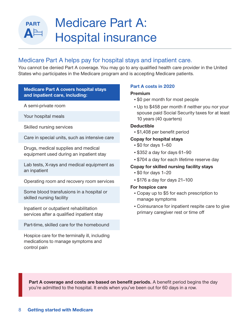## Medicare Part A: Hospital insurance

## Medicare Part A helps pay for hospital stays and inpatient care.

You cannot be denied Part A coverage. You may go to any qualified health care provider in the United States who participates in the Medicare program and is accepting Medicare patients.

## **Medicare Part A covers hospital stays and inpatient care, including:**

A semi-private room

**PART** 

A<sup>E</sup>

Your hospital meals

Skilled nursing services

Care in special units, such as intensive care

Drugs, medical supplies and medical equipment used during an inpatient stay

Lab tests, X-rays and medical equipment as an inpatient

Operating room and recovery room services

Some blood transfusions in a hospital or skilled nursing facility

Inpatient or outpatient rehabilitation services after a qualified inpatient stay

Part-time, skilled care for the homebound

Hospice care for the terminally ill, including medications to manage symptoms and control pain

## **Part A costs in 2020**

## **Premium**

- \$0 per month for most people
- Up to \$458 per month if neither you nor your spouse paid Social Security taxes for at least 10 years (40 quarters)

### **Deductible**

• \$1,408 per benefit period

## **Copay for hospital stays**

- \$0 for days 1–60
- \$352 a day for days 61–90
- \$704 a day for each lifetime reserve day

## **Copay for skilled nursing facility stays**

- \$0 for days 1–20
- \$176 a day for days 21–100

## **For hospice care**

- Copay up to \$5 for each prescription to manage symptoms
- Coinsurance for inpatient respite care to give primary caregiver rest or time off

**Part A coverage and costs are based on benefit periods.** A benefit period begins the day you're admitted to the hospital. It ends when you've been out for 60 days in a row.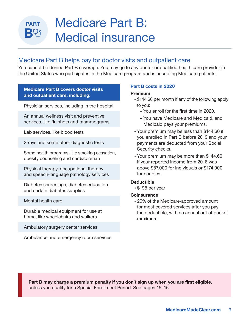## Medicare Part B: Medical insurance

## Medicare Part B helps pay for doctor visits and outpatient care.

You cannot be denied Part B coverage. You may go to any doctor or qualified health care provider in the United States who participates in the Medicare program and is accepting Medicare patients.

### **Medicare Part B covers doctor visits and outpatient care, including:**

Physician services, including in the hospital

An annual wellness visit and preventive services, like flu shots and mammograms

Lab services, like blood tests

**PART** 

BY

X-rays and some other diagnostic tests

Some health programs, like smoking cessation, obesity counseling and cardiac rehab

Physical therapy, occupational therapy and speech-language pathology services

Diabetes screenings, diabetes education and certain diabetes supplies

Mental health care

Durable medical equipment for use at home, like wheelchairs and walkers

Ambulatory surgery center services

Ambulance and emergency room services

### **Part B costs in 2020**

#### **Premium**

- \$144.60 per month if any of the following apply to you:
	- You enroll for the first time in 2020.
	- You have Medicare and Medicaid, and Medicaid pays your premiums.
- Your premium may be less than \$144.60 if you enrolled in Part B before 2019 and your payments are deducted from your Social Security checks.
- Your premium may be more than \$144.60 if your reported income from 2018 was above \$87,000 for individuals or \$174,000 for couples.

#### **Deductible**

• \$198 per year

#### **Coinsurance**

• 20% of the Medicare-approved amount for most covered services after you pay the deductible, with no annual out-of-pocket maximum

**Part B may charge a premium penalty if you don't sign up when you are first eligible,**  unless you qualify for a Special Enrollment Period. See pages 15–16.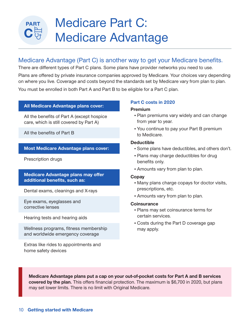## Medicare Part C: Medicare Advantage

## Medicare Advantage (Part C) is another way to get your Medicare benefits.

There are different types of Part C plans. Some plans have provider networks you need to use.

Plans are offered by private insurance companies approved by Medicare. Your choices vary depending on where you live. Coverage and costs beyond the standards set by Medicare vary from plan to plan.

You must be enrolled in both Part A and Part B to be eligible for a Part C plan.

#### **All Medicare Advantage plans cover:**

All the benefits of Part A (except hospice care, which is still covered by Part A)

All the benefits of Part B

#### **Most Medicare Advantage plans cover:**

Prescription drugs

### **Medicare Advantage plans may offer additional benefits, such as:**

Dental exams, cleanings and X-rays

Eye exams, eyeglasses and corrective lenses

Hearing tests and hearing aids

Wellness programs, fitness membership and worldwide emergency coverage

Extras like rides to appointments and home safety devices

#### **Part C costs in 2020**

#### **Premium**

- Plan premiums vary widely and can change from year to year.
- You continue to pay your Part B premium to Medicare.

#### **Deductible**

- Some plans have deductibles, and others don't.
- Plans may charge deductibles for drug benefits only.
- Amounts vary from plan to plan.

#### **Copay**

- Many plans charge copays for doctor visits, prescriptions, etc.
- Amounts vary from plan to plan.

#### **Coinsurance**

- Plans may set coinsurance terms for certain services.
- Costs during the Part D coverage gap may apply.

**Medicare Advantage plans put a cap on your out-of-pocket costs for Part A and B services covered by the plan.** This offers financial protection. The maximum is \$6,700 in 2020, but plans may set lower limits. There is no limit with Original Medicare.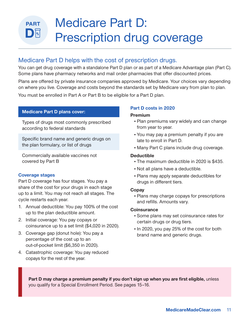## Medicare Part D: **PART**  $D$   $\mathbb{R}$ Prescription drug coverage

## Medicare Part D helps with the cost of prescription drugs.

You can get drug coverage with a standalone Part D plan or as part of a Medicare Advantage plan (Part C). Some plans have pharmacy networks and mail order pharmacies that offer discounted prices.

Plans are offered by private insurance companies approved by Medicare. Your choices vary depending on where you live. Coverage and costs beyond the standards set by Medicare vary from plan to plan.

You must be enrolled in Part A or Part B to be eligible for a Part D plan.

### **Medicare Part D plans cover:**

Types of drugs most commonly prescribed according to federal standards

Specific brand name and generic drugs on the plan formulary, or list of drugs

Commercially available vaccines not covered by Part B

#### **Coverage stages**

Part D coverage has four stages. You pay a share of the cost for your drugs in each stage up to a limit. You may not reach all stages. The cycle restarts each year.

- 1. Annual deductible: You pay 100% of the cost up to the plan deductible amount.
- 2. Initial coverage: You pay copays or coinsurance up to a set limit (\$4,020 in 2020).
- 3. Coverage gap (donut hole): You pay a percentage of the cost up to an out-of-pocket limit (\$6,350 in 2020).
- 4. Catastrophic coverage: You pay reduced copays for the rest of the year.

## **Part D costs in 2020**

#### **Premium**

- Plan premiums vary widely and can change from year to year.
- You may pay a premium penalty if you are late to enroll in Part D.
- Many Part C plans include drug coverage.

### **Deductible**

- The maximum deductible in 2020 is \$435.
- Not all plans have a deductible.
- Plans may apply separate deductibles for drugs in different tiers.

#### **Copay**

• Plans may charge copays for prescriptions and refills. Amounts vary.

#### **Coinsurance**

- Some plans may set coinsurance rates for certain drugs or drug tiers.
- In 2020, you pay 25% of the cost for both brand name and generic drugs.

**Part D may charge a premium penalty if you don't sign up when you are first eligible,** unless you qualify for a Special Enrollment Period. See pages 15–16.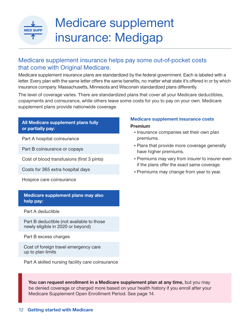# **MED SUPP**

## Medicare supplement insurance: Medigap

## Medicare supplement insurance helps pay some out-of-pocket costs that come with Original Medicare.

Medicare supplement insurance plans are standardized by the federal government. Each is labeled with a letter. Every plan with the same letter offers the same benefits, no matter what state it's offered in or by which insurance company. Massachusetts, Minnesota and Wisconsin standardized plans differently.

The level of coverage varies. There are standardized plans that cover all your Medicare deductibles, copayments and coinsurance, while others leave some costs for you to pay on your own. Medicare supplement plans provide nationwide coverage.

## **All Medicare supplement plans fully or partially pay:**

Part A hospital coinsurance

Part B coinsurance or copays

Cost of blood transfusions (first 3 pints)

Costs for 365 extra hospital days

Hospice care coinsurance

## **Medicare supplement plans may also help pay:**

Part A deductible

Part B deductible (not available to those newly eligible in 2020 or beyond)

Part B excess charges

Cost of foreign travel emergency care up to plan limits

Part A skilled nursing facility care coinsurance

### **Medicare supplement insurance costs**

#### **Premium**

- Insurance companies set their own plan premiums.
- Plans that provide more coverage generally have higher premiums.
- Premiums may vary from insurer to insurer even if the plans offer the exact same coverage.
- Premiums may change from year to year.

You can request enrollment in a Medicare supplement plan at any time, but you may be denied coverage or charged more based on your health history if you enroll after your Medicare Supplement Open Enrollment Period. See page 14.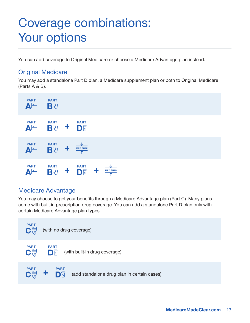## Coverage combinations: Your options

You can add coverage to Original Medicare or choose a Medicare Advantage plan instead.

## Original Medicare

You may add a standalone Part D plan, a Medicare supplement plan or both to Original Medicare (Parts A & B).



## Medicare Advantage

You may choose to get your benefits through a Medicare Advantage plan (Part C). Many plans come with built-in prescription drug coverage. You can add a standalone Part D plan only with certain Medicare Advantage plan types.

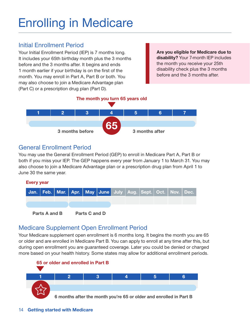# Enrolling in Medicare

## Initial Enrollment Period

Your Initial Enrollment Period (IEP) is 7 months long. It includes your 65th birthday month plus the 3 months before and the 3 months after. It begins and ends 1 month earlier if your birthday is on the first of the month. You may enroll in Part A, Part B or both. You may also choose to join a Medicare Advantage plan (Part C) or a prescription drug plan (Part D).

**Are you eligible for Medicare due to disability?** Your 7-month IEP includes the month you receive your 25th disability check plus the 3 months before and the 3 months after.

## **The month you turn 65 years old**



## General Enrollment Period

You may use the General Enrollment Period (GEP) to enroll in Medicare Part A, Part B or both if you miss your IEP. The GEP happens every year from January 1 to March 31. You may also choose to join a Medicare Advantage plan or a prescription drug plan from April 1 to June 30 the same year.



## Medicare Supplement Open Enrollment Period

Your Medicare supplement open enrollment is 6 months long. It begins the month you are 65 or older and are enrolled in Medicare Part B. You can apply to enroll at any time after this, but during open enrollment you are guaranteed coverage. Later you could be denied or charged more based on your health history. Some states may allow for additional enrollment periods.

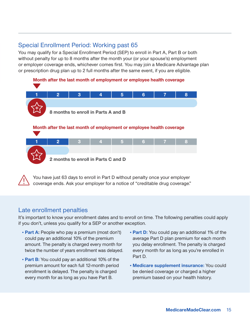## Special Enrollment Period: Working past 65

You may qualify for a Special Enrollment Period (SEP) to enroll in Part A, Part B or both without penalty for up to 8 months after the month your (or your spouse's) employment or employer coverage ends, whichever comes first. You may join a Medicare Advantage plan or prescription drug plan up to 2 full months after the same event, if you are eligible.



 You have just 63 days to enroll in Part D without penalty once your employer coverage ends. Ask your employer for a notice of "creditable drug coverage."

## Late enrollment penalties

It's important to know your enrollment dates and to enroll on time. The following penalties could apply if you don't, unless you qualify for a SEP or another exception.

- **Part A:** People who pay a premium (most don't) could pay an additional 10% of the premium amount. The penalty is charged every month for twice the number of years enrollment was delayed.
- **Part B:** You could pay an additional 10% of the premium amount for each full 12-month period enrollment is delayed. The penalty is charged every month for as long as you have Part B.
- **Part D:** You could pay an additional 1% of the average Part D plan premium for each month you delay enrollment. The penalty is charged every month for as long as you're enrolled in Part D.
- **Medicare supplement insurance:** You could be denied coverage or charged a higher premium based on your health history.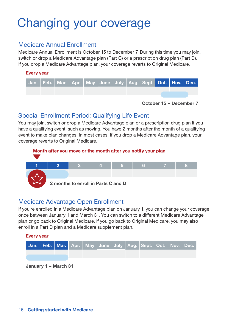## Changing your coverage

## Medicare Annual Enrollment

Medicare Annual Enrollment is October 15 to December 7. During this time you may join, switch or drop a Medicare Advantage plan (Part C) or a prescription drug plan (Part D). If you drop a Medicare Advantage plan, your coverage reverts to Original Medicare.

## **Every year**



**October 15 – December 7**

## Special Enrollment Period: Qualifying Life Event

You may join, switch or drop a Medicare Advantage plan or a prescription drug plan if you have a qualifying event, such as moving. You have 2 months after the month of a qualifying event to make plan changes, in most cases. If you drop a Medicare Advantage plan, your coverage reverts to Original Medicare.



## Medicare Advantage Open Enrollment

If you're enrolled in a Medicare Advantage plan on January 1, you can change your coverage once between January 1 and March 31. You can switch to a different Medicare Advantage plan or go back to Original Medicare. If you go back to Original Medicare, you may also enroll in a Part D plan and a Medicare supplement plan.

# **Every year Jan. Feb. Mar. Apr. May June July Aug. Sept. Oct. Nov. Dec.**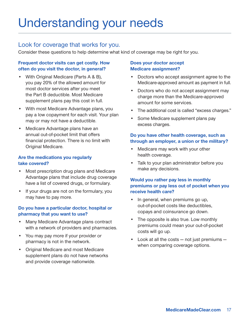## Understanding your needs

## Look for coverage that works for you.

Consider these questions to help determine what kind of coverage may be right for you.

## **Frequent doctor visits can get costly. How often do you visit the doctor, in general?**

- With Original Medicare (Parts A & B), you pay 20% of the allowed amount for most doctor services after you meet the Part B deductible. Most Medicare supplement plans pay this cost in full.
- With most Medicare Advantage plans, you pay a low copayment for each visit. Your plan may or may not have a deductible.
- Medicare Advantage plans have an annual out-of-pocket limit that offers financial protection. There is no limit with Original Medicare.

## **Are the medications you regularly take covered?**

- Most prescription drug plans and Medicare Advantage plans that include drug coverage have a list of covered drugs, or formulary.
- If your drugs are not on the formulary, you may have to pay more.

## **Do you have a particular doctor, hospital or pharmacy that you want to use?**

- Many Medicare Advantage plans contract with a network of providers and pharmacies.
- You may pay more if your provider or pharmacy is not in the network.
- Original Medicare and most Medicare supplement plans do not have networks and provide coverage nationwide.

## **Does your doctor accept Medicare assignment?**

- Doctors who accept assignment agree to the Medicare-approved amount as payment in full.
- Doctors who do not accept assignment may charge more than the Medicare-approved amount for some services.
- The additional cost is called "excess charges."
- Some Medicare supplement plans pay excess charges.

## **Do you have other health coverage, such as through an employer, a union or the military?**

- Medicare may work with your other health coverage.
- Talk to your plan administrator before you make any decisions.

## **Would you rather pay less in monthly premiums or pay less out of pocket when you receive health care?**

- In general, when premiums go up, out-of-pocket costs like deductibles, copays and coinsurance go down.
- The opposite is also true. Low monthly premiums could mean your out-of-pocket costs will go up.
- Look at all the costs not just premiums when comparing coverage options.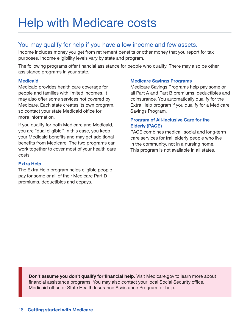## Help with Medicare costs

## You may qualify for help if you have a low income and few assets.

Income includes money you get from retirement benefits or other money that you report for tax purposes. Income eligibility levels vary by state and program.

The following programs offer financial assistance for people who qualify. There may also be other assistance programs in your state.

### **Medicaid**

Medicaid provides health care coverage for people and families with limited incomes. It may also offer some services not covered by Medicare. Each state creates its own program, so contact your state Medicaid office for more information.

If you qualify for both Medicare and Medicaid, you are "dual eligible." In this case, you keep your Medicaid benefits and may get additional benefits from Medicare. The two programs can work together to cover most of your health care costs.

## **Extra Help**

The Extra Help program helps eligible people pay for some or all of their Medicare Part D premiums, deductibles and copays.

## **Medicare Savings Programs**

Medicare Savings Programs help pay some or all Part A and Part B premiums, deductibles and coinsurance. You automatically qualify for the Extra Help program if you qualify for a Medicare Savings Program.

## **Program of All-Inclusive Care for the Elderly (PACE)**

PACE combines medical, social and long-term care services for frail elderly people who live in the community, not in a nursing home. This program is not available in all states.

**Don't assume you don't qualify for financial help.** Visit Medicare.gov to learn more about financial assistance programs. You may also contact your local Social Security office, Medicaid office or State Health Insurance Assistance Program for help.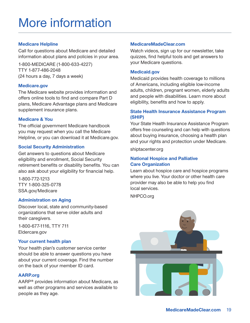### **Medicare Helpline**

Call for questions about Medicare and detailed information about plans and policies in your area.

1-800-MEDICARE (1-800-633-4227) TTY 1-877-486-2048 (24 hours a day, 7 days a week)

### **Medicare.gov**

The Medicare website provides information and offers online tools to find and compare Part D plans, Medicare Advantage plans and Medicare supplement insurance plans.

## **Medicare & You**

The official government Medicare handbook you may request when you call the Medicare Helpline, or you can download it at Medicare.gov.

### **Social Security Administration**

Get answers to questions about Medicare eligibility and enrollment, Social Security retirement benefits or disability benefits. You can also ask about your eligibility for financial help.

1-800-772-1213 TTY 1-800-325-0778 SSA.gov/Medicare

#### **Administration on Aging**

Discover local, state and community-based organizations that serve older adults and their caregivers.

1-800-677-1116, TTY 711 Eldercare.gov

## **Your current health plan**

Your health plan's customer service center should be able to answer questions you have about your current coverage. Find the number on the back of your member ID card.

#### **AARP.org**

AARP® provides information about Medicare, as well as other programs and services available to people as they age.

### **MedicareMadeClear.com**

Watch videos, sign up for our newsletter, take quizzes, find helpful tools and get answers to your Medicare questions.

### **Medicaid.gov**

Medicaid provides health coverage to millions of Americans, including eligible low-income adults, children, pregnant women, elderly adults and people with disabilities. Learn more about eligibility, benefits and how to apply.

### **State Health Insurance Assistance Program (SHIP)**

Your State Health Insurance Assistance Program offers free counseling and can help with questions about buying insurance, choosing a health plan and your rights and protection under Medicare.

shiptacenter.org

#### **National Hospice and Palliative Care Organization**

Learn about hospice care and hospice programs where you live. Your doctor or other health care provider may also be able to help you find local services.

NHPCO.org

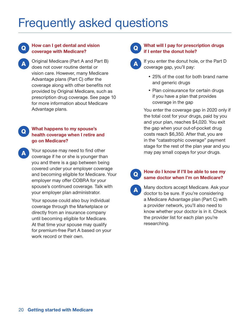## Frequently asked questions

## Q **How can I get dental and vision coverage with Medicare?**

AOriginal Medicare (Part A and Part B) does not cover routine dental or vision care. However, many Medicare Advantage plans (Part C) offer the coverage along with other benefits not provided by Original Medicare, such as prescription drug coverage. See page 10 for more information about Medicare Advantage plans.

## Q **What happens to my spouse's health coverage when I retire and go on Medicare?**

Your spouse may need to find other coverage if he or she is younger than you and there is a gap between being covered under your employer coverage and becoming eligible for Medicare. Your employer may offer COBRA for your spouse's continued coverage. Talk with your employer plan administrator.

> Your spouse could also buy individual coverage through the Marketplace or directly from an insurance company until becoming eligible for Medicare. At that time your spouse may qualify for premium-free Part A based on your work record or their own.

## Q **What will I pay for prescription drugs if I enter the donut hole?**

If you enter the donut hole, or the Part D coverage gap, you'll pay:

- 25% of the cost for both brand name and generic drugs
- Plan coinsurance for certain drugs if you have a plan that provides coverage in the gap

You enter the coverage gap in 2020 only if the total cost for your drugs, paid by you and your plan, reaches \$4,020. You exit the gap when your out-of-pocket drug costs reach \$6,350. After that, you are in the "catastrophic coverage" payment stage for the rest of the plan year and you may pay small copays for your drugs.

## Q **How do I know if I'll be able to see my same doctor when I'm on Medicare?**

AMany doctors accept Medicare. Ask your doctor to be sure. If you're considering a Medicare Advantage plan (Part C) with a provider network, you'll also need to know whether your doctor is in it. Check the provider list for each plan you're researching.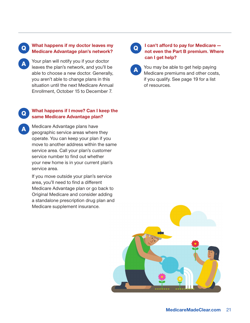### Q **What happens if my doctor leaves my Medicare Advantage plan's network?**

Your plan will notify you if your doctor leaves the plan's network, and you'll be able to choose a new doctor. Generally, you aren't able to change plans in this situation until the next Medicare Annual Enrollment, October 15 to December 7.

#### Q **What happens if I move? Can I keep the same Medicare Advantage plan?**

AMedicare Advantage plans have geographic service areas where they operate. You can keep your plan if you move to another address within the same service area. Call your plan's customer service number to find out whether your new home is in your current plan's service area.

If you move outside your plan's service area, you'll need to find a different Medicare Advantage plan or go back to Original Medicare and consider adding a standalone prescription drug plan and Medicare supplement insurance.

## <sup>Q</sup> **I can't afford to pay for Medicare not even the Part B premium. Where can I get help?**

You may be able to get help paying Medicare premiums and other costs, if you qualify. See page 19 for a list of resources.

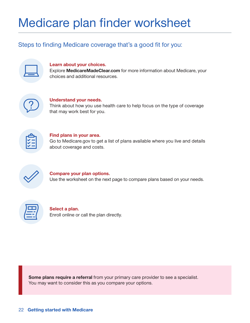## Medicare plan finder worksheet

## Steps to finding Medicare coverage that's a good fit for you:

#### **Learn about your choices.**

Explore **MedicareMadeClear.com** for more information about Medicare, your choices and additional resources.



#### **Understand your needs.** Think about how you use health care to help focus on the type of coverage that may work best for you.



## **Find plans in your area.** Go to Medicare.gov to get a list of plans available where you live and details about coverage and costs.



## **Compare your plan options.** Use the worksheet on the next page to compare plans based on your needs.



## **Select a plan.** Enroll online or call the plan directly.

**Some plans require a referral** from your primary care provider to see a specialist. You may want to consider this as you compare your options.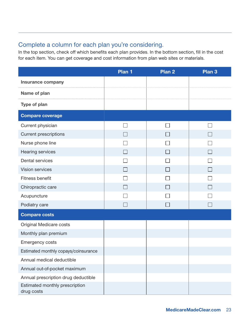## Complete a column for each plan you're considering.

In the top section, check off which benefits each plan provides. In the bottom section, fill in the cost for each item. You can get coverage and cost information from plan web sites or materials.

|                                              | Plan 1 | Plan <sub>2</sub> | Plan <sub>3</sub> |
|----------------------------------------------|--------|-------------------|-------------------|
| <b>Insurance company</b>                     |        |                   |                   |
| Name of plan                                 |        |                   |                   |
| <b>Type of plan</b>                          |        |                   |                   |
| <b>Compare coverage</b>                      |        |                   |                   |
| Current physician                            |        |                   |                   |
| <b>Current prescriptions</b>                 |        |                   |                   |
| Nurse phone line                             |        |                   |                   |
| Hearing services                             | $\Box$ |                   | $\vert \ \ \vert$ |
| Dental services                              |        |                   |                   |
| <b>Vision services</b>                       | $\Box$ |                   |                   |
| Fitness benefit                              |        |                   |                   |
| Chiropractic care                            | $\Box$ |                   |                   |
| Acupuncture                                  |        |                   |                   |
| Podiatry care                                |        |                   |                   |
| <b>Compare costs</b>                         |        |                   |                   |
| Original Medicare costs                      |        |                   |                   |
| Monthly plan premium                         |        |                   |                   |
| <b>Emergency costs</b>                       |        |                   |                   |
| Estimated monthly copays/coinsurance         |        |                   |                   |
| Annual medical deductible                    |        |                   |                   |
| Annual out-of-pocket maximum                 |        |                   |                   |
| Annual prescription drug deductible          |        |                   |                   |
| Estimated monthly prescription<br>drug costs |        |                   |                   |